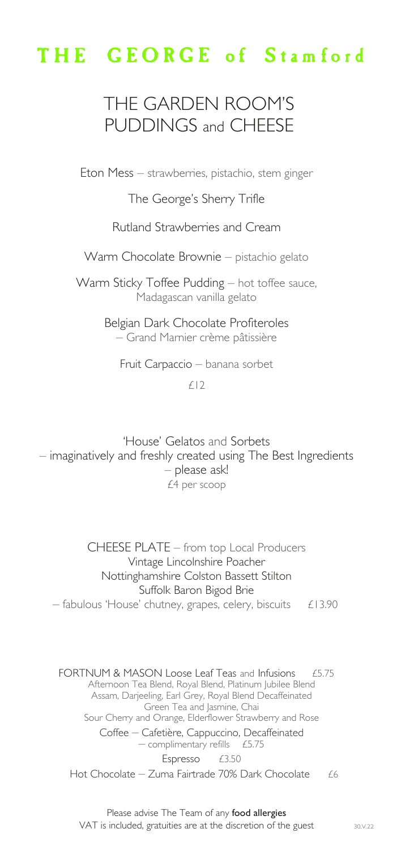# THE GEORGE of Stamford

## THE GARDEN ROOM'S PUDDINGS and CHEESE

Eton Mess – strawberries, pistachio, stem ginger

### The George's Sherry Trifle

### Rutland Strawberries and Cream

Warm Chocolate Brownie – pistachio gelato

Warm Sticky Toffee Pudding – hot toffee sauce, Madagascan vanilla gelato

> Belgian Dark Chocolate Profiteroles – Grand Marnier crème pâtissière

Fruit Carpaccio – banana sorbet

£12

'House' Gelatos and Sorbets – imaginatively and freshly created using The Best Ingredients – please ask! £4 per scoop

CHEESE PLATE – from top Local Producers Vintage Lincolnshire Poacher Nottinghamshire Colston Bassett Stilton Suffolk Baron Bigod Brie  $-$  fabulous 'House' chutney, grapes, celery, biscuits  $£13.90$ 

FORTNUM & MASON Loose Leaf Teas and Infusions £5.75 Afternoon Tea Blend, Royal Blend, Platinum Jubilee Blend Assam, Darjeeling, Earl Grey, Royal Blend Decaffeinated Green Tea and Jasmine, Chai Sour Cherry and Orange, Elderflower Strawberry and Rose Coffee – Cafetière, Cappuccino, Decaffeinated  $-$  complimentary refills £5.75 Espresso £3.50

Hot Chocolate – Zuma Fairtrade 70% Dark Chocolate  $£6$ 

Please advise The Team of any food allergies VAT is included, gratuities are at the discretion of the guest 30.V.22